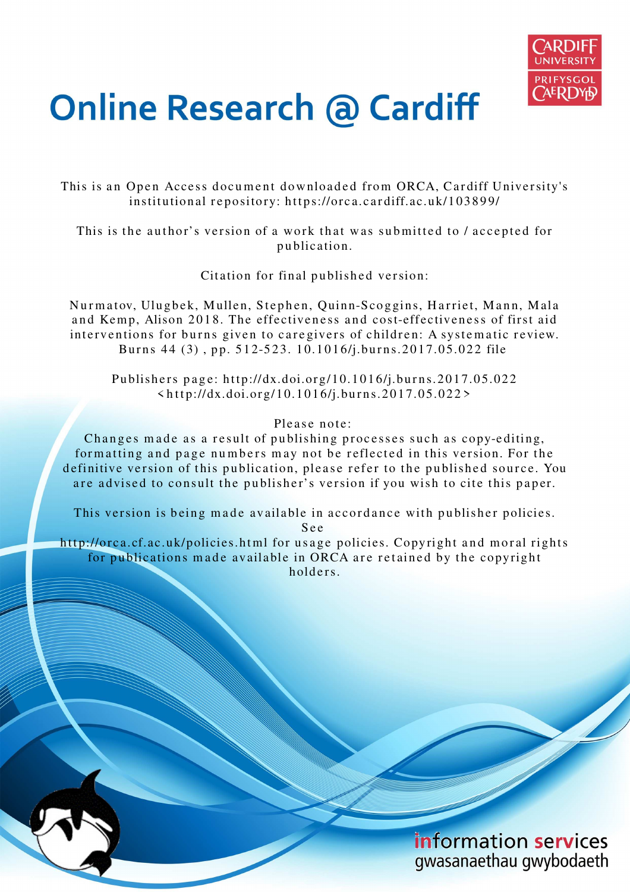

# **Online Research @ Cardiff**

This is an Open Access document downloaded from ORCA, Cardiff University's institutional repository: https://orca.cardiff.ac.uk/103899/

This is the author's version of a work that was submitted to / accepted for p u blication.

Citation for final published version:

Nurmatov, Ulugbek, Mullen, Stephen, Quinn-Scoggins, Harriet, Mann, Mala and Kemp, Alison 2018. The effectiveness and cost-effectiveness of first aid interventions for burns given to caregivers of children: A systematic review. Burns 44 (3), pp. 512-523. 10.1016/j.burns.2017.05.022 file

Publishers page: http://dx.doi.org/10.1016/j.burns.2017.05.022  $\langle \text{http://dx.doi.org/10.1016/j.burns.2017.05.022>}$ 

# Please note:

Changes made as a result of publishing processes such as copy-editing, formatting and page numbers may not be reflected in this version. For the definitive version of this publication, please refer to the published source. You are advised to consult the publisher's version if you wish to cite this paper.

This version is being made available in accordance with publisher policies.

S e e

http://orca.cf.ac.uk/policies.html for usage policies. Copyright and moral rights for publications made available in ORCA are retained by the copyright holders

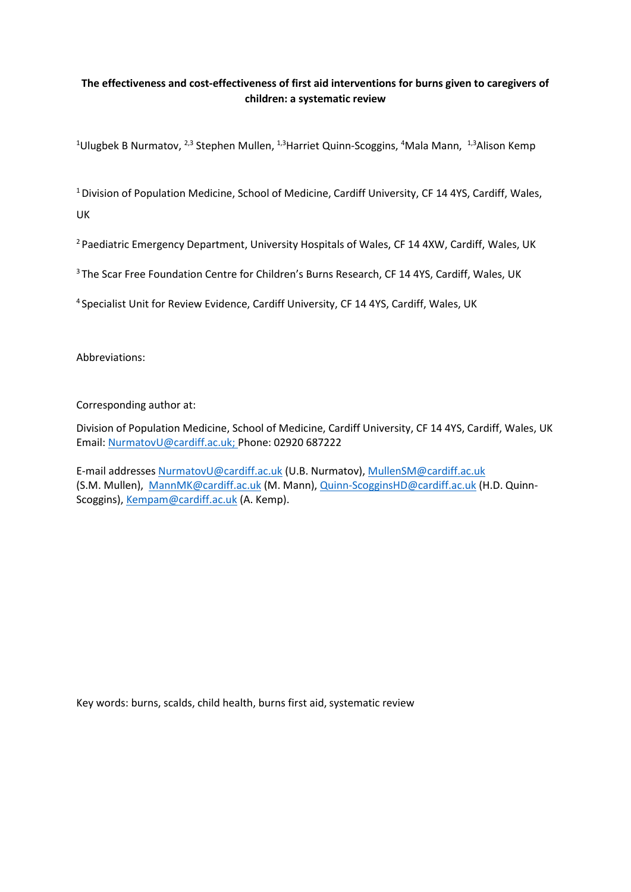# **The effectiveness and cost-effectiveness of first aid interventions for burns given to caregivers of children: a systematic review**

<sup>1</sup>Ulugbek B Nurmatov, <sup>2,3</sup> Stephen Mullen, <sup>1,3</sup>Harriet Quinn-Scoggins, <sup>4</sup>Mala Mann, <sup>1,3</sup>Alison Kemp

 $1$  Division of Population Medicine, School of Medicine, Cardiff University, CF 14 4YS, Cardiff, Wales, UK

<sup>2</sup> Paediatric Emergency Department, University Hospitals of Wales, CF 14 4XW, Cardiff, Wales, UK

<sup>3</sup> The Scar Free Foundation Centre for Children's Burns Research, CF 14 4YS, Cardiff, Wales, UK

<sup>4</sup> Specialist Unit for Review Evidence, Cardiff University, CF 14 4YS, Cardiff, Wales, UK

Abbreviations:

Corresponding author at:

Division of Population Medicine, School of Medicine, Cardiff University, CF 14 4YS, Cardiff, Wales, UK Email: [NurmatovU@cardiff.ac.uk;](mailto:NurmatovU@cardiff.ac.uk) Phone: 02920 687222

E-mail addresses [NurmatovU@cardiff.ac.uk](mailto:NurmatovU@cardiff.ac.uk) (U.B. Nurmatov), [MullenSM@cardiff.ac.uk](mailto:MullenSM@cardiff.ac.uk) (S.M. Mullen), [MannMK@cardiff.ac.uk](mailto:MannMK@cardiff.ac.uk) (M. Mann), [Quinn-ScogginsHD@cardiff.ac.uk](mailto:Quinn-ScogginsHD@cardiff.ac.uk) (H.D. Quinn-Scoggins), [Kempam@cardiff.ac.uk](mailto:Kempam@cardiff.ac.uk) (A. Kemp).

Key words: burns, scalds, child health, burns first aid, systematic review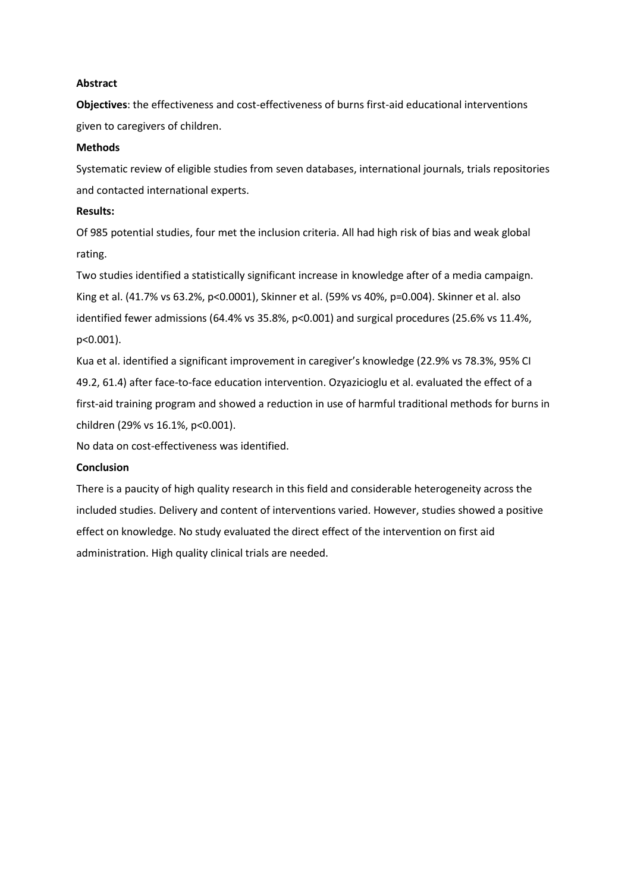## **Abstract**

**Objectives**: the effectiveness and cost-effectiveness of burns first-aid educational interventions given to caregivers of children.

## **Methods**

Systematic review of eligible studies from seven databases, international journals, trials repositories and contacted international experts.

## **Results:**

Of 985 potential studies, four met the inclusion criteria. All had high risk of bias and weak global rating.

Two studies identified a statistically significant increase in knowledge after of a media campaign. King et al. (41.7% vs 63.2%, p<0.0001), Skinner et al. (59% vs 40%, p=0.004). Skinner et al. also identified fewer admissions (64.4% vs 35.8%, p<0.001) and surgical procedures (25.6% vs 11.4%, p<0.001).

Kua et al. identified a significant improvement in caregiver's knowledge (22.9% vs 78.3%, 95% CI 49.2, 61.4) after face-to-face education intervention. Ozyazicioglu et al. evaluated the effect of a first-aid training program and showed a reduction in use of harmful traditional methods for burns in children (29% vs 16.1%, p<0.001).

No data on cost-effectiveness was identified.

#### **Conclusion**

There is a paucity of high quality research in this field and considerable heterogeneity across the included studies. Delivery and content of interventions varied. However, studies showed a positive effect on knowledge. No study evaluated the direct effect of the intervention on first aid administration. High quality clinical trials are needed.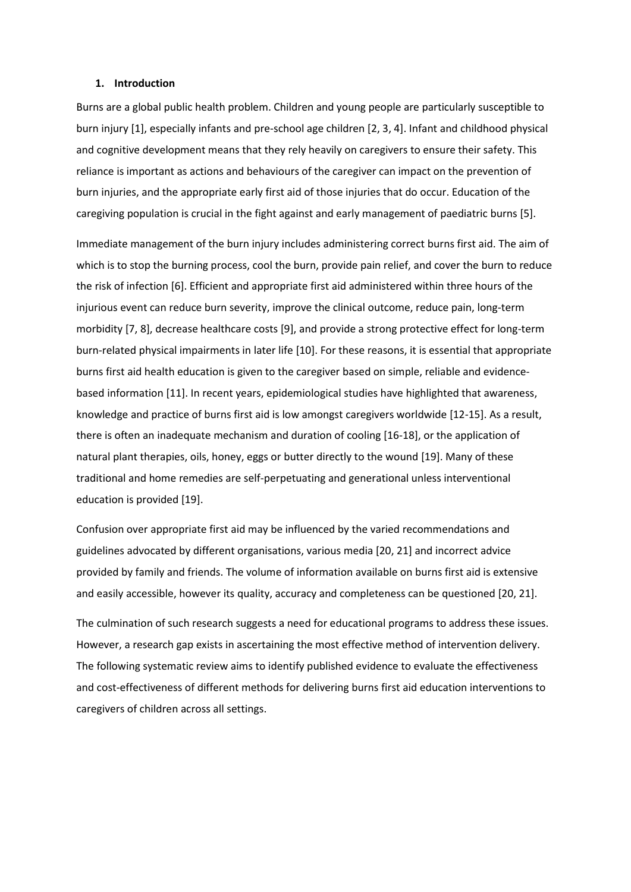#### **1. Introduction**

Burns are a global public health problem. Children and young people are particularly susceptible to burn injury [1], especially infants and pre-school age children [2, 3, 4]. Infant and childhood physical and cognitive development means that they rely heavily on caregivers to ensure their safety. This reliance is important as actions and behaviours of the caregiver can impact on the prevention of burn injuries, and the appropriate early first aid of those injuries that do occur. Education of the caregiving population is crucial in the fight against and early management of paediatric burns [5].

Immediate management of the burn injury includes administering correct burns first aid. The aim of which is to stop the burning process, cool the burn, provide pain relief, and cover the burn to reduce the risk of infection [6]. Efficient and appropriate first aid administered within three hours of the injurious event can reduce burn severity, improve the clinical outcome, reduce pain, long-term morbidity [7, 8], decrease healthcare costs [9], and provide a strong protective effect for long-term burn-related physical impairments in later life [10]. For these reasons, it is essential that appropriate burns first aid health education is given to the caregiver based on simple, reliable and evidencebased information [11]. In recent years, epidemiological studies have highlighted that awareness, knowledge and practice of burns first aid is low amongst caregivers worldwide [12-15]. As a result, there is often an inadequate mechanism and duration of cooling [16-18], or the application of natural plant therapies, oils, honey, eggs or butter directly to the wound [19]. Many of these traditional and home remedies are self-perpetuating and generational unless interventional education is provided [19].

Confusion over appropriate first aid may be influenced by the varied recommendations and guidelines advocated by different organisations, various media [20, 21] and incorrect advice provided by family and friends. The volume of information available on burns first aid is extensive and easily accessible, however its quality, accuracy and completeness can be questioned [20, 21].

The culmination of such research suggests a need for educational programs to address these issues. However, a research gap exists in ascertaining the most effective method of intervention delivery. The following systematic review aims to identify published evidence to evaluate the effectiveness and cost-effectiveness of different methods for delivering burns first aid education interventions to caregivers of children across all settings.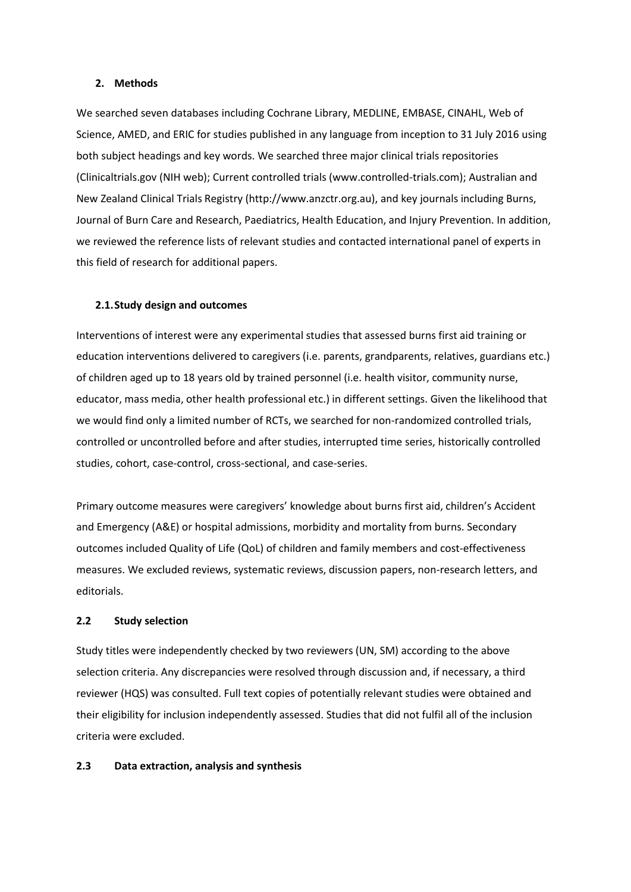#### **2. Methods**

We searched seven databases including Cochrane Library, MEDLINE, EMBASE, CINAHL, Web of Science, AMED, and ERIC for studies published in any language from inception to 31 July 2016 using both subject headings and key words. We searched three major clinical trials repositories (Clinicaltrials.gov (NIH web); Current controlled trials (www.controlled-trials.com); Australian and New Zealand Clinical Trials Registry (http://www.anzctr.org.au), and key journals including Burns, Journal of Burn Care and Research, Paediatrics, Health Education, and Injury Prevention. In addition, we reviewed the reference lists of relevant studies and contacted international panel of experts in this field of research for additional papers.

#### **2.1.Study design and outcomes**

Interventions of interest were any experimental studies that assessed burns first aid training or education interventions delivered to caregivers (i.e. parents, grandparents, relatives, guardians etc.) of children aged up to 18 years old by trained personnel (i.e. health visitor, community nurse, educator, mass media, other health professional etc.) in different settings. Given the likelihood that we would find only a limited number of RCTs, we searched for non-randomized controlled trials, controlled or uncontrolled before and after studies, interrupted time series, historically controlled studies, cohort, case-control, cross-sectional, and case-series.

Primary outcome measures were caregivers' knowledge about burns first aid, children's Accident and Emergency (A&E) or hospital admissions, morbidity and mortality from burns. Secondary outcomes included Quality of Life (QoL) of children and family members and cost-effectiveness measures. We excluded reviews, systematic reviews, discussion papers, non-research letters, and editorials.

#### **2.2 Study selection**

Study titles were independently checked by two reviewers (UN, SM) according to the above selection criteria. Any discrepancies were resolved through discussion and, if necessary, a third reviewer (HQS) was consulted. Full text copies of potentially relevant studies were obtained and their eligibility for inclusion independently assessed. Studies that did not fulfil all of the inclusion criteria were excluded.

## **2.3 Data extraction, analysis and synthesis**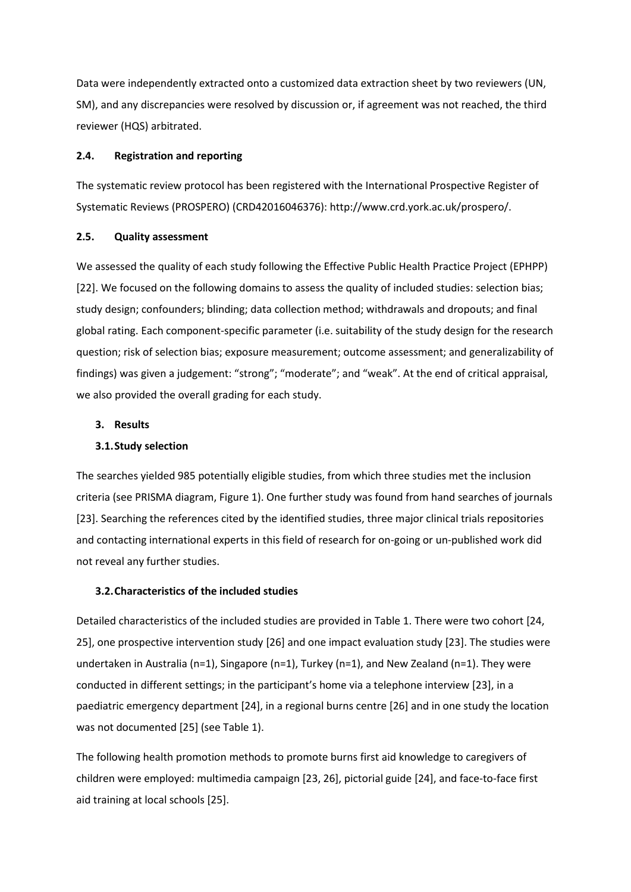Data were independently extracted onto a customized data extraction sheet by two reviewers (UN, SM), and any discrepancies were resolved by discussion or, if agreement was not reached, the third reviewer (HQS) arbitrated.

## **2.4. Registration and reporting**

The systematic review protocol has been registered with the International Prospective Register of Systematic Reviews (PROSPERO) (CRD42016046376): http://www.crd.york.ac.uk/prospero/.

#### **2.5. Quality assessment**

We assessed the quality of each study following the Effective Public Health Practice Project (EPHPP) [22]. We focused on the following domains to assess the quality of included studies: selection bias; study design; confounders; blinding; data collection method; withdrawals and dropouts; and final global rating. Each component-specific parameter (i.e. suitability of the study design for the research question; risk of selection bias; exposure measurement; outcome assessment; and generalizability of findings) was given a judgement: "strong"; "moderate"; and "weak". At the end of critical appraisal, we also provided the overall grading for each study.

## **3. Results**

## **3.1.Study selection**

The searches yielded 985 potentially eligible studies, from which three studies met the inclusion criteria (see PRISMA diagram, Figure 1). One further study was found from hand searches of journals [23]. Searching the references cited by the identified studies, three major clinical trials repositories and contacting international experts in this field of research for on-going or un-published work did not reveal any further studies.

#### **3.2.Characteristics of the included studies**

Detailed characteristics of the included studies are provided in Table 1. There were two cohort [24, 25], one prospective intervention study [26] and one impact evaluation study [23]. The studies were undertaken in Australia (n=1), Singapore (n=1), Turkey (n=1), and New Zealand (n=1). They were conducted in different settings; in the participant's home via a telephone interview [23], in a paediatric emergency department [24], in a regional burns centre [26] and in one study the location was not documented [25] (see Table 1).

The following health promotion methods to promote burns first aid knowledge to caregivers of children were employed: multimedia campaign [23, 26], pictorial guide [24], and face-to-face first aid training at local schools [25].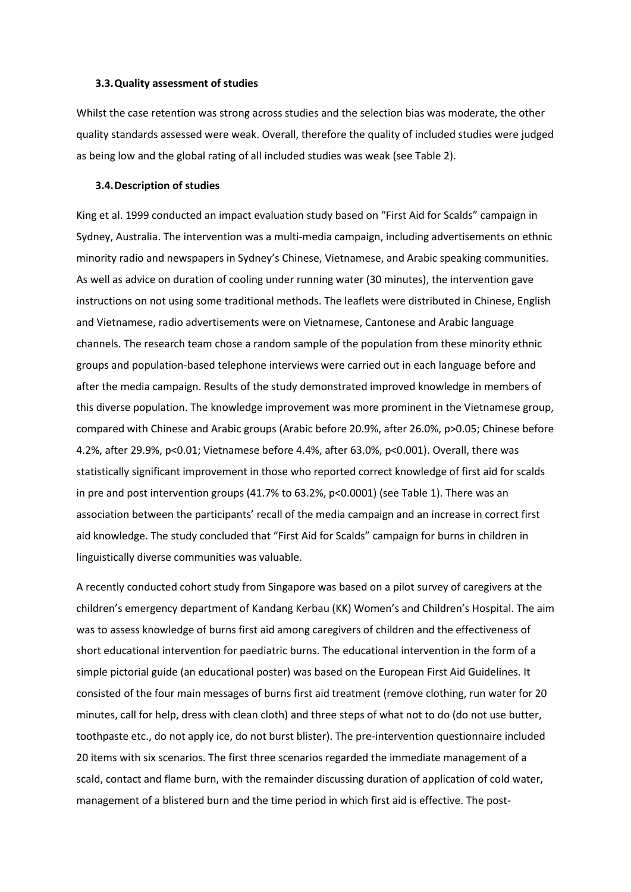#### **3.3.Quality assessment of studies**

Whilst the case retention was strong across studies and the selection bias was moderate, the other quality standards assessed were weak. Overall, therefore the quality of included studies were judged as being low and the global rating of all included studies was weak (see Table 2).

#### **3.4.Description of studies**

King et al. 1999 conducted an impact evaluation study based on "First Aid for Scalds" campaign in Sydney, Australia. The intervention was a multi-media campaign, including advertisements on ethnic minority radio and newspapers in Sydney's Chinese, Vietnamese, and Arabic speaking communities. As well as advice on duration of cooling under running water (30 minutes), the intervention gave instructions on not using some traditional methods. The leaflets were distributed in Chinese, English and Vietnamese, radio advertisements were on Vietnamese, Cantonese and Arabic language channels. The research team chose a random sample of the population from these minority ethnic groups and population-based telephone interviews were carried out in each language before and after the media campaign. Results of the study demonstrated improved knowledge in members of this diverse population. The knowledge improvement was more prominent in the Vietnamese group, compared with Chinese and Arabic groups (Arabic before 20.9%, after 26.0%, p>0.05; Chinese before 4.2%, after 29.9%, p<0.01; Vietnamese before 4.4%, after 63.0%, p<0.001). Overall, there was statistically significant improvement in those who reported correct knowledge of first aid for scalds in pre and post intervention groups (41.7% to 63.2%, p<0.0001) (see Table 1). There was an association between the participants' recall of the media campaign and an increase in correct first aid knowledge. The study concluded that "First Aid for Scalds" campaign for burns in children in linguistically diverse communities was valuable.

A recently conducted cohort study from Singapore was based on a pilot survey of caregivers at the children's emergency department of Kandang Kerbau (KK) Women's and Children's Hospital. The aim was to assess knowledge of burns first aid among caregivers of children and the effectiveness of short educational intervention for paediatric burns. The educational intervention in the form of a simple pictorial guide (an educational poster) was based on the European First Aid Guidelines. It consisted of the four main messages of burns first aid treatment (remove clothing, run water for 20 minutes, call for help, dress with clean cloth) and three steps of what not to do (do not use butter, toothpaste etc., do not apply ice, do not burst blister). The pre-intervention questionnaire included 20 items with six scenarios. The first three scenarios regarded the immediate management of a scald, contact and flame burn, with the remainder discussing duration of application of cold water, management of a blistered burn and the time period in which first aid is effective. The post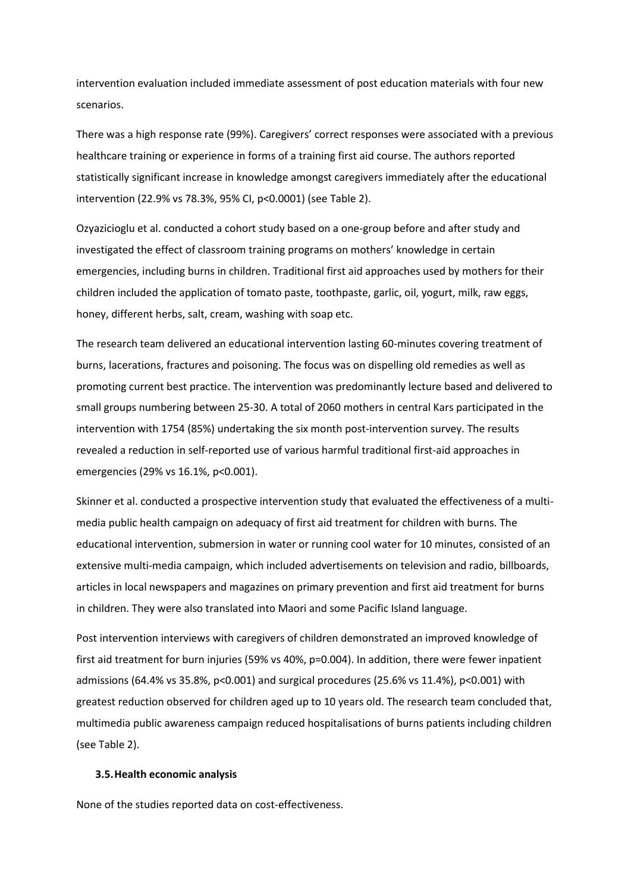intervention evaluation included immediate assessment of post education materials with four new scenarios.

There was a high response rate (99%). Caregivers' correct responses were associated with a previous healthcare training or experience in forms of a training first aid course. The authors reported statistically significant increase in knowledge amongst caregivers immediately after the educational intervention (22.9% vs 78.3%, 95% CI, p<0.0001) (see Table 2).

Ozyazicioglu et al. conducted a cohort study based on a one-group before and after study and investigated the effect of classroom training programs on mothers' knowledge in certain emergencies, including burns in children. Traditional first aid approaches used by mothers for their children included the application of tomato paste, toothpaste, garlic, oil, yogurt, milk, raw eggs, honey, different herbs, salt, cream, washing with soap etc.

The research team delivered an educational intervention lasting 60-minutes covering treatment of burns, lacerations, fractures and poisoning. The focus was on dispelling old remedies as well as promoting current best practice. The intervention was predominantly lecture based and delivered to small groups numbering between 25-30. A total of 2060 mothers in central Kars participated in the intervention with 1754 (85%) undertaking the six month post-intervention survey. The results revealed a reduction in self-reported use of various harmful traditional first-aid approaches in emergencies (29% vs 16.1%, p<0.001).

Skinner et al. conducted a prospective intervention study that evaluated the effectiveness of a multimedia public health campaign on adequacy of first aid treatment for children with burns. The educational intervention, submersion in water or running cool water for 10 minutes, consisted of an extensive multi-media campaign, which included advertisements on television and radio, billboards, articles in local newspapers and magazines on primary prevention and first aid treatment for burns in children. They were also translated into Maori and some Pacific Island language.

Post intervention interviews with caregivers of children demonstrated an improved knowledge of first aid treatment for burn injuries (59% vs 40%, p=0.004). In addition, there were fewer inpatient admissions (64.4% vs 35.8%, p<0.001) and surgical procedures (25.6% vs 11.4%), p<0.001) with greatest reduction observed for children aged up to 10 years old. The research team concluded that, multimedia public awareness campaign reduced hospitalisations of burns patients including children (see Table 2).

#### **3.5.Health economic analysis**

None of the studies reported data on cost-effectiveness.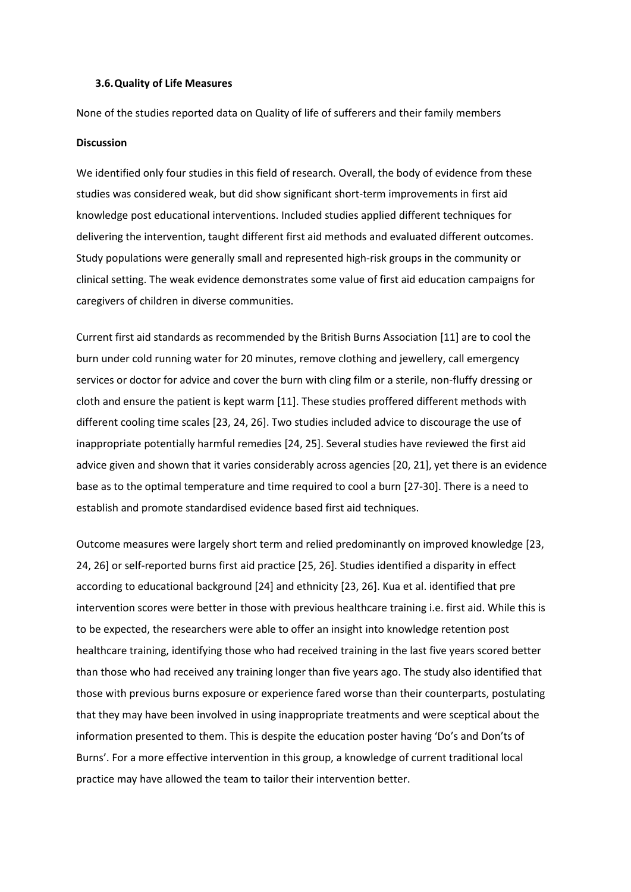#### **3.6.Quality of Life Measures**

None of the studies reported data on Quality of life of sufferers and their family members

#### **Discussion**

We identified only four studies in this field of research. Overall, the body of evidence from these studies was considered weak, but did show significant short-term improvements in first aid knowledge post educational interventions. Included studies applied different techniques for delivering the intervention, taught different first aid methods and evaluated different outcomes. Study populations were generally small and represented high-risk groups in the community or clinical setting. The weak evidence demonstrates some value of first aid education campaigns for caregivers of children in diverse communities.

Current first aid standards as recommended by the British Burns Association [11] are to cool the burn under cold running water for 20 minutes, remove clothing and jewellery, call emergency services or doctor for advice and cover the burn with cling film or a sterile, non-fluffy dressing or cloth and ensure the patient is kept warm [11]. These studies proffered different methods with different cooling time scales [23, 24, 26]. Two studies included advice to discourage the use of inappropriate potentially harmful remedies [24, 25]. Several studies have reviewed the first aid advice given and shown that it varies considerably across agencies [20, 21], yet there is an evidence base as to the optimal temperature and time required to cool a burn [27-30]. There is a need to establish and promote standardised evidence based first aid techniques.

Outcome measures were largely short term and relied predominantly on improved knowledge [23, 24, 26] or self-reported burns first aid practice [25, 26]. Studies identified a disparity in effect according to educational background [24] and ethnicity [23, 26]. Kua et al. identified that pre intervention scores were better in those with previous healthcare training i.e. first aid. While this is to be expected, the researchers were able to offer an insight into knowledge retention post healthcare training, identifying those who had received training in the last five years scored better than those who had received any training longer than five years ago. The study also identified that those with previous burns exposure or experience fared worse than their counterparts, postulating that they may have been involved in using inappropriate treatments and were sceptical about the information presented to them. This is despite the education poster having 'Do's and Don'ts of Burns'. For a more effective intervention in this group, a knowledge of current traditional local practice may have allowed the team to tailor their intervention better.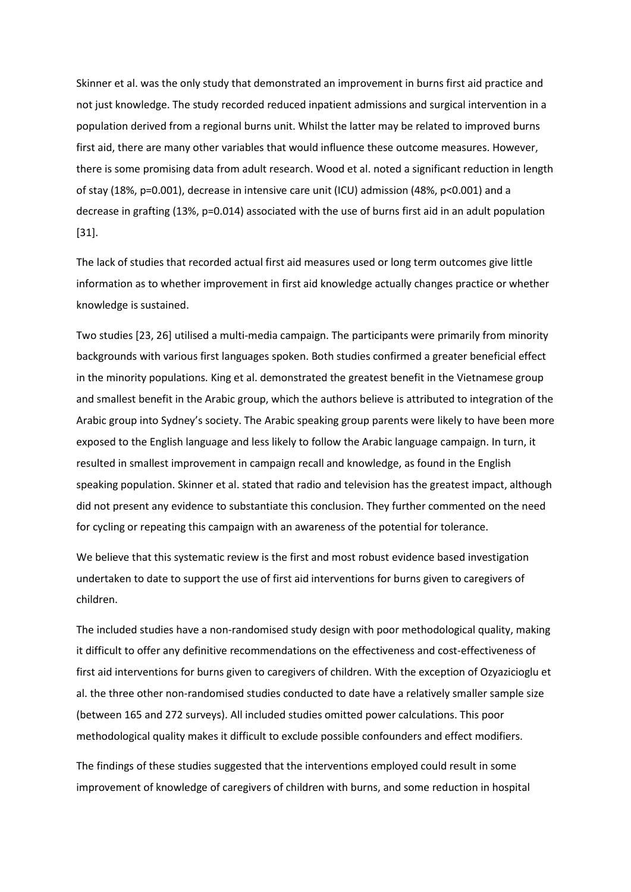Skinner et al. was the only study that demonstrated an improvement in burns first aid practice and not just knowledge. The study recorded reduced inpatient admissions and surgical intervention in a population derived from a regional burns unit. Whilst the latter may be related to improved burns first aid, there are many other variables that would influence these outcome measures. However, there is some promising data from adult research. Wood et al. noted a significant reduction in length of stay (18%, p=0.001), decrease in intensive care unit (ICU) admission (48%, p<0.001) and a decrease in grafting (13%, p=0.014) associated with the use of burns first aid in an adult population [31].

The lack of studies that recorded actual first aid measures used or long term outcomes give little information as to whether improvement in first aid knowledge actually changes practice or whether knowledge is sustained.

Two studies [23, 26] utilised a multi-media campaign. The participants were primarily from minority backgrounds with various first languages spoken. Both studies confirmed a greater beneficial effect in the minority populations. King et al. demonstrated the greatest benefit in the Vietnamese group and smallest benefit in the Arabic group, which the authors believe is attributed to integration of the Arabic group into Sydney's society. The Arabic speaking group parents were likely to have been more exposed to the English language and less likely to follow the Arabic language campaign. In turn, it resulted in smallest improvement in campaign recall and knowledge, as found in the English speaking population. Skinner et al. stated that radio and television has the greatest impact, although did not present any evidence to substantiate this conclusion. They further commented on the need for cycling or repeating this campaign with an awareness of the potential for tolerance.

We believe that this systematic review is the first and most robust evidence based investigation undertaken to date to support the use of first aid interventions for burns given to caregivers of children.

The included studies have a non-randomised study design with poor methodological quality, making it difficult to offer any definitive recommendations on the effectiveness and cost-effectiveness of first aid interventions for burns given to caregivers of children. With the exception of Ozyazicioglu et al. the three other non-randomised studies conducted to date have a relatively smaller sample size (between 165 and 272 surveys). All included studies omitted power calculations. This poor methodological quality makes it difficult to exclude possible confounders and effect modifiers.

The findings of these studies suggested that the interventions employed could result in some improvement of knowledge of caregivers of children with burns, and some reduction in hospital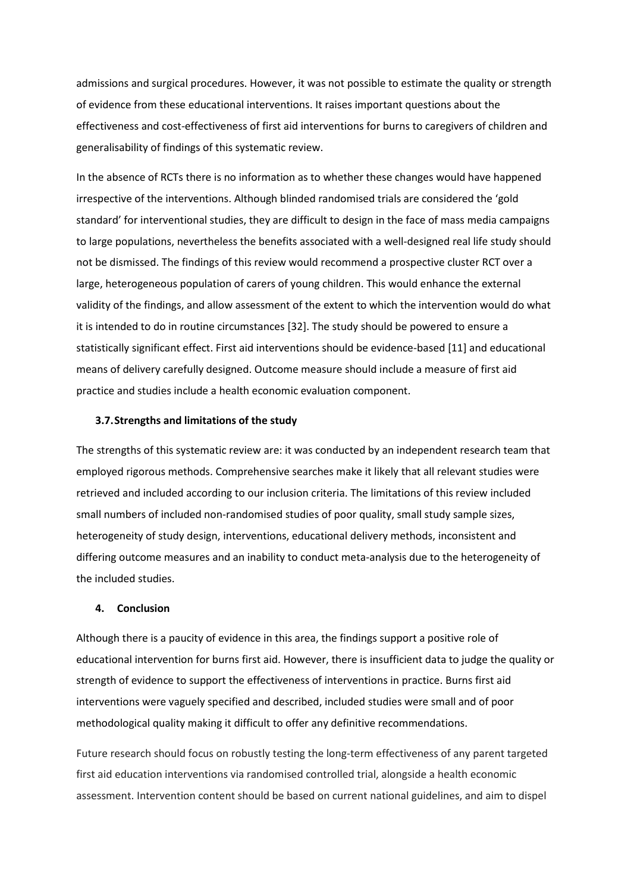admissions and surgical procedures. However, it was not possible to estimate the quality or strength of evidence from these educational interventions. It raises important questions about the effectiveness and cost-effectiveness of first aid interventions for burns to caregivers of children and generalisability of findings of this systematic review.

In the absence of RCTs there is no information as to whether these changes would have happened irrespective of the interventions. Although blinded randomised trials are considered the 'gold standard' for interventional studies, they are difficult to design in the face of mass media campaigns to large populations, nevertheless the benefits associated with a well-designed real life study should not be dismissed. The findings of this review would recommend a prospective cluster RCT over a large, heterogeneous population of carers of young children. This would enhance the external validity of the findings, and allow assessment of the extent to which the intervention would do what it is intended to do in routine circumstances [32]. The study should be powered to ensure a statistically significant effect. First aid interventions should be evidence-based [11] and educational means of delivery carefully designed. Outcome measure should include a measure of first aid practice and studies include a health economic evaluation component.

#### **3.7.Strengths and limitations of the study**

The strengths of this systematic review are: it was conducted by an independent research team that employed rigorous methods. Comprehensive searches make it likely that all relevant studies were retrieved and included according to our inclusion criteria. The limitations of this review included small numbers of included non-randomised studies of poor quality, small study sample sizes, heterogeneity of study design, interventions, educational delivery methods, inconsistent and differing outcome measures and an inability to conduct meta-analysis due to the heterogeneity of the included studies.

## **4. Conclusion**

Although there is a paucity of evidence in this area, the findings support a positive role of educational intervention for burns first aid. However, there is insufficient data to judge the quality or strength of evidence to support the effectiveness of interventions in practice. Burns first aid interventions were vaguely specified and described, included studies were small and of poor methodological quality making it difficult to offer any definitive recommendations.

Future research should focus on robustly testing the long-term effectiveness of any parent targeted first aid education interventions via randomised controlled trial, alongside a health economic assessment. Intervention content should be based on current national guidelines, and aim to dispel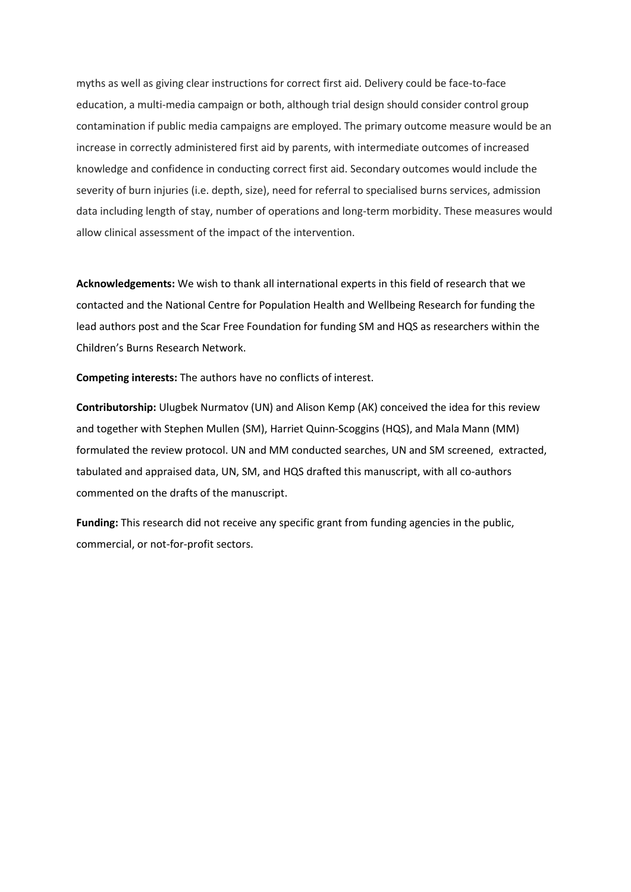myths as well as giving clear instructions for correct first aid. Delivery could be face-to-face education, a multi-media campaign or both, although trial design should consider control group contamination if public media campaigns are employed. The primary outcome measure would be an increase in correctly administered first aid by parents, with intermediate outcomes of increased knowledge and confidence in conducting correct first aid. Secondary outcomes would include the severity of burn injuries (i.e. depth, size), need for referral to specialised burns services, admission data including length of stay, number of operations and long-term morbidity. These measures would allow clinical assessment of the impact of the intervention.

**Acknowledgements:** We wish to thank all international experts in this field of research that we contacted and the National Centre for Population Health and Wellbeing Research for funding the lead authors post and the Scar Free Foundation for funding SM and HQS as researchers within the Children's Burns Research Network.

**Competing interests:** The authors have no conflicts of interest.

**Contributorship:** Ulugbek Nurmatov (UN) and Alison Kemp (AK) conceived the idea for this review and together with Stephen Mullen (SM), Harriet Quinn-Scoggins (HQS), and Mala Mann (MM) formulated the review protocol. UN and MM conducted searches, UN and SM screened, extracted, tabulated and appraised data, UN, SM, and HQS drafted this manuscript, with all co-authors commented on the drafts of the manuscript.

**Funding:** This research did not receive any specific grant from funding agencies in the public, commercial, or not-for-profit sectors.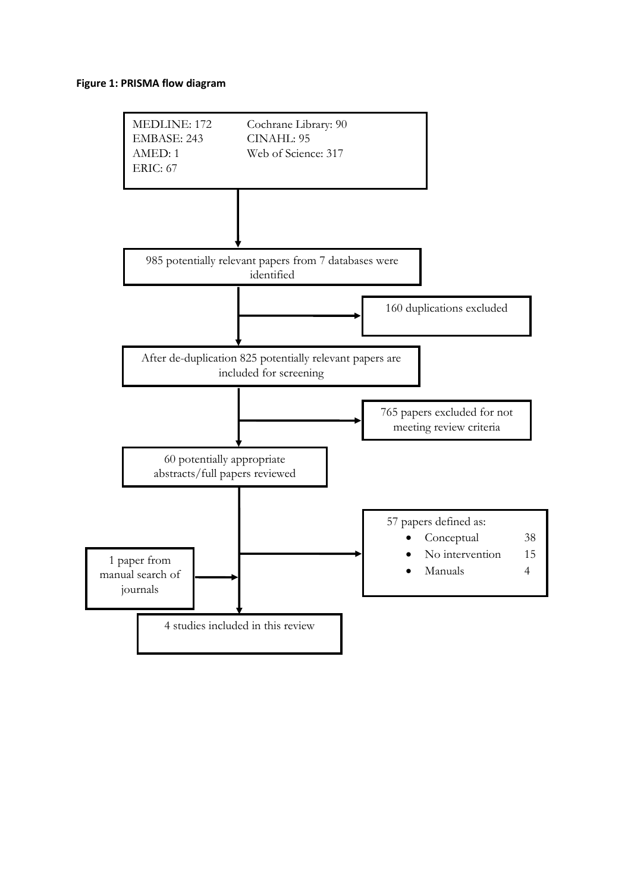## **Figure 1: PRISMA flow diagram**

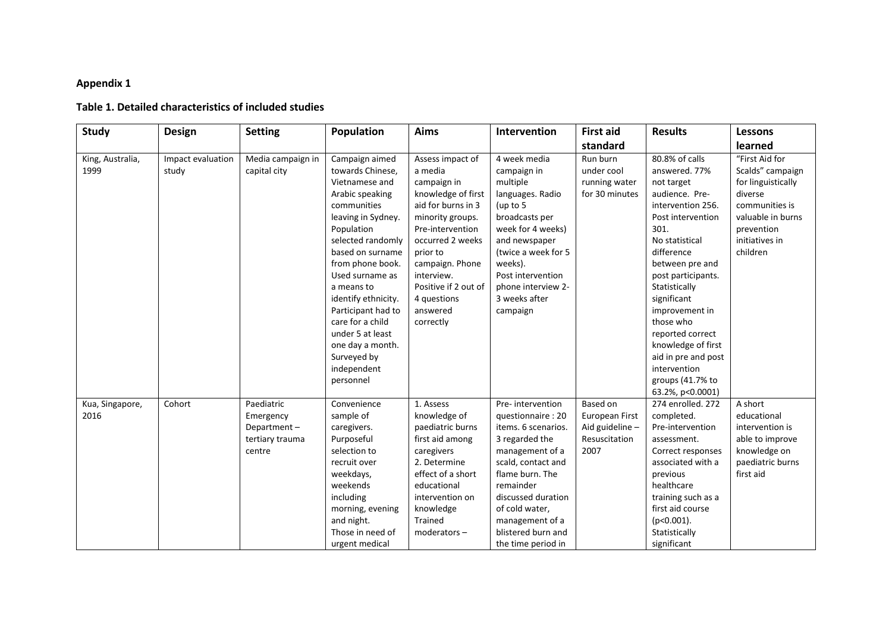# **Appendix 1**

# **Table 1. Detailed characteristics of included studies**

| Study                    | <b>Design</b>              | <b>Setting</b>                                                      | Population                                                                                                                                                                                                                                                                                                                                                                   | Aims                                                                                                                                                                                                                                                            | Intervention                                                                                                                                                                                                                                                   | <b>First aid</b>                                                       | <b>Results</b>                                                                                                                                                                                                                                                                                                                                                                     | <b>Lessons</b>                                                                                                                                         |  |  |
|--------------------------|----------------------------|---------------------------------------------------------------------|------------------------------------------------------------------------------------------------------------------------------------------------------------------------------------------------------------------------------------------------------------------------------------------------------------------------------------------------------------------------------|-----------------------------------------------------------------------------------------------------------------------------------------------------------------------------------------------------------------------------------------------------------------|----------------------------------------------------------------------------------------------------------------------------------------------------------------------------------------------------------------------------------------------------------------|------------------------------------------------------------------------|------------------------------------------------------------------------------------------------------------------------------------------------------------------------------------------------------------------------------------------------------------------------------------------------------------------------------------------------------------------------------------|--------------------------------------------------------------------------------------------------------------------------------------------------------|--|--|
|                          |                            |                                                                     |                                                                                                                                                                                                                                                                                                                                                                              |                                                                                                                                                                                                                                                                 |                                                                                                                                                                                                                                                                | standard                                                               |                                                                                                                                                                                                                                                                                                                                                                                    | learned                                                                                                                                                |  |  |
| King, Australia,<br>1999 | Impact evaluation<br>study | Media campaign in<br>capital city                                   | Campaign aimed<br>towards Chinese,<br>Vietnamese and<br>Arabic speaking<br>communities<br>leaving in Sydney.<br>Population<br>selected randomly<br>based on surname<br>from phone book.<br>Used surname as<br>a means to<br>identify ethnicity.<br>Participant had to<br>care for a child<br>under 5 at least<br>one day a month.<br>Surveyed by<br>independent<br>personnel | Assess impact of<br>a media<br>campaign in<br>knowledge of first<br>aid for burns in 3<br>minority groups.<br>Pre-intervention<br>occurred 2 weeks<br>prior to<br>campaign. Phone<br>interview.<br>Positive if 2 out of<br>4 questions<br>answered<br>correctly | 4 week media<br>campaign in<br>multiple<br>languages. Radio<br>(up to 5<br>broadcasts per<br>week for 4 weeks)<br>and newspaper<br>(twice a week for 5<br>weeks).<br>Post intervention<br>phone interview 2-<br>3 weeks after<br>campaign                      | Run burn<br>under cool<br>running water<br>for 30 minutes              | 80.8% of calls<br>answered. 77%<br>not target<br>audience. Pre-<br>intervention 256.<br>Post intervention<br>301.<br>No statistical<br>difference<br>between pre and<br>post participants.<br>Statistically<br>significant<br>improvement in<br>those who<br>reported correct<br>knowledge of first<br>aid in pre and post<br>intervention<br>groups (41.7% to<br>63.2%, p<0.0001) | "First Aid for<br>Scalds" campaign<br>for linguistically<br>diverse<br>communities is<br>valuable in burns<br>prevention<br>initiatives in<br>children |  |  |
| Kua, Singapore,<br>2016  | Cohort                     | Paediatric<br>Emergency<br>Department-<br>tertiary trauma<br>centre | Convenience<br>sample of<br>caregivers.<br>Purposeful<br>selection to<br>recruit over<br>weekdays,<br>weekends<br>including<br>morning, evening<br>and night.<br>Those in need of<br>urgent medical                                                                                                                                                                          | 1. Assess<br>knowledge of<br>paediatric burns<br>first aid among<br>caregivers<br>2. Determine<br>effect of a short<br>educational<br>intervention on<br>knowledge<br>Trained<br>$moderator -$                                                                  | Pre-intervention<br>questionnaire: 20<br>items. 6 scenarios.<br>3 regarded the<br>management of a<br>scald, contact and<br>flame burn. The<br>remainder<br>discussed duration<br>of cold water,<br>management of a<br>blistered burn and<br>the time period in | Based on<br>European First<br>Aid guideline -<br>Resuscitation<br>2007 | 274 enrolled, 272<br>completed.<br>Pre-intervention<br>assessment.<br>Correct responses<br>associated with a<br>previous<br>healthcare<br>training such as a<br>first aid course<br>$(p<0.001)$ .<br>Statistically<br>significant                                                                                                                                                  | A short<br>educational<br>intervention is<br>able to improve<br>knowledge on<br>paediatric burns<br>first aid                                          |  |  |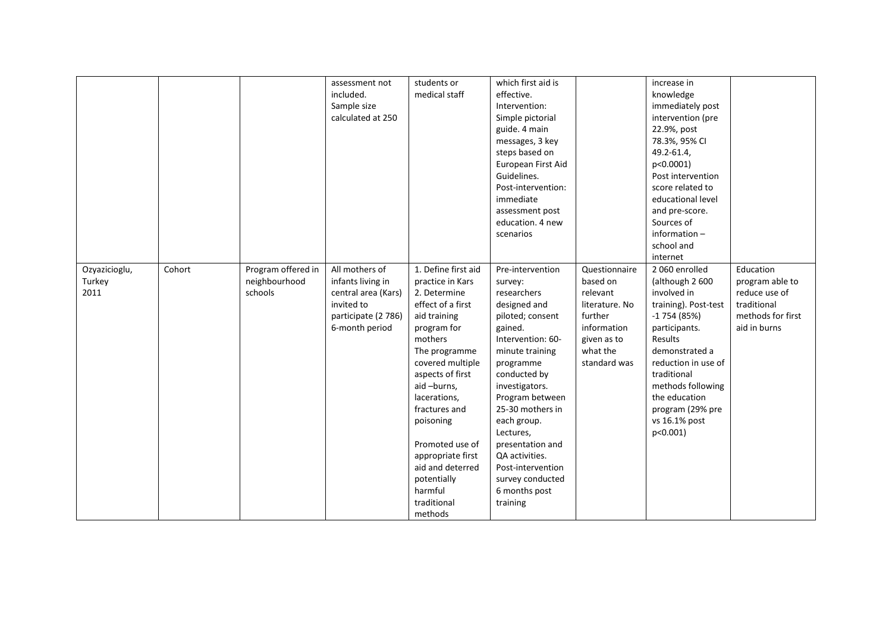|               |        |                    | assessment not      | students or         | which first aid is |                | increase in          |                   |
|---------------|--------|--------------------|---------------------|---------------------|--------------------|----------------|----------------------|-------------------|
|               |        |                    | included.           | medical staff       | effective.         |                | knowledge            |                   |
|               |        |                    | Sample size         |                     | Intervention:      |                | immediately post     |                   |
|               |        |                    | calculated at 250   |                     | Simple pictorial   |                | intervention (pre    |                   |
|               |        |                    |                     |                     | guide. 4 main      |                | 22.9%, post          |                   |
|               |        |                    |                     |                     | messages, 3 key    |                | 78.3%, 95% CI        |                   |
|               |        |                    |                     |                     | steps based on     |                | 49.2-61.4,           |                   |
|               |        |                    |                     |                     | European First Aid |                | p<0.0001)            |                   |
|               |        |                    |                     |                     | Guidelines.        |                | Post intervention    |                   |
|               |        |                    |                     |                     | Post-intervention: |                | score related to     |                   |
|               |        |                    |                     |                     | immediate          |                | educational level    |                   |
|               |        |                    |                     |                     | assessment post    |                | and pre-score.       |                   |
|               |        |                    |                     |                     | education. 4 new   |                | Sources of           |                   |
|               |        |                    |                     |                     | scenarios          |                | information $-$      |                   |
|               |        |                    |                     |                     |                    |                | school and           |                   |
|               |        |                    |                     |                     |                    |                | internet             |                   |
| Ozyazicioglu, | Cohort | Program offered in | All mothers of      | 1. Define first aid | Pre-intervention   | Questionnaire  | 2 060 enrolled       | Education         |
| Turkey        |        | neighbourhood      | infants living in   | practice in Kars    | survey:            | based on       | (although 2 600      | program able to   |
| 2011          |        | schools            | central area (Kars) | 2. Determine        | researchers        | relevant       | involved in          | reduce use of     |
|               |        |                    | invited to          | effect of a first   | designed and       | literature. No | training). Post-test | traditional       |
|               |        |                    | participate (2 786) | aid training        | piloted; consent   | further        | $-1754(85%)$         | methods for first |
|               |        |                    | 6-month period      | program for         | gained.            | information    | participants.        | aid in burns      |
|               |        |                    |                     | mothers             | Intervention: 60-  | given as to    | Results              |                   |
|               |        |                    |                     | The programme       | minute training    | what the       | demonstrated a       |                   |
|               |        |                    |                     | covered multiple    | programme          | standard was   | reduction in use of  |                   |
|               |        |                    |                     | aspects of first    | conducted by       |                | traditional          |                   |
|               |        |                    |                     | aid-burns,          | investigators.     |                | methods following    |                   |
|               |        |                    |                     | lacerations,        | Program between    |                | the education        |                   |
|               |        |                    |                     | fractures and       | 25-30 mothers in   |                | program (29% pre     |                   |
|               |        |                    |                     | poisoning           | each group.        |                | vs 16.1% post        |                   |
|               |        |                    |                     |                     | Lectures,          |                | $p<0.001$ )          |                   |
|               |        |                    |                     | Promoted use of     | presentation and   |                |                      |                   |
|               |        |                    |                     | appropriate first   | QA activities.     |                |                      |                   |
|               |        |                    |                     | aid and deterred    | Post-intervention  |                |                      |                   |
|               |        |                    |                     | potentially         | survey conducted   |                |                      |                   |
|               |        |                    |                     | harmful             | 6 months post      |                |                      |                   |
|               |        |                    |                     |                     |                    |                |                      |                   |
|               |        |                    |                     | traditional         | training           |                |                      |                   |
|               |        |                    |                     | methods             |                    |                |                      |                   |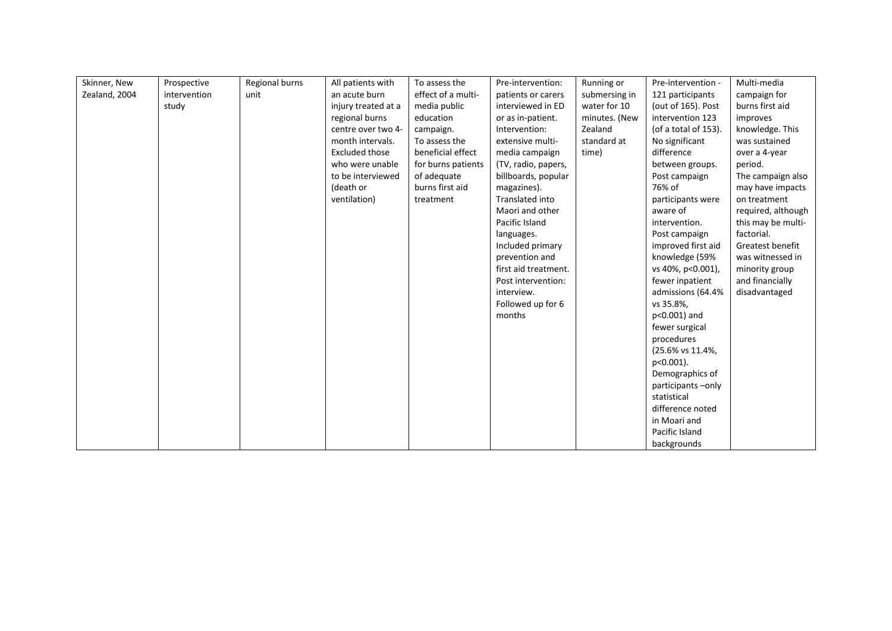| Skinner, New  | Prospective  | Regional burns | All patients with     | To assess the      | Pre-intervention:    | Running or    | Pre-intervention -   | Multi-media        |
|---------------|--------------|----------------|-----------------------|--------------------|----------------------|---------------|----------------------|--------------------|
| Zealand, 2004 | intervention | unit           | an acute burn         | effect of a multi- | patients or carers   | submersing in | 121 participants     | campaign for       |
|               | study        |                | injury treated at a   | media public       | interviewed in ED    | water for 10  | (out of 165). Post   | burns first aid    |
|               |              |                | regional burns        | education          | or as in-patient.    | minutes. (New | intervention 123     | improves           |
|               |              |                | centre over two 4-    | campaign.          | Intervention:        | Zealand       | (of a total of 153). | knowledge. This    |
|               |              |                | month intervals.      | To assess the      | extensive multi-     | standard at   | No significant       | was sustained      |
|               |              |                | <b>Excluded those</b> | beneficial effect  | media campaign       | time)         | difference           | over a 4-year      |
|               |              |                | who were unable       | for burns patients | (TV, radio, papers,  |               | between groups.      | period.            |
|               |              |                | to be interviewed     | of adequate        | billboards, popular  |               | Post campaign        | The campaign also  |
|               |              |                | (death or             | burns first aid    | magazines).          |               | 76% of               | may have impacts   |
|               |              |                | ventilation)          | treatment          | Translated into      |               | participants were    | on treatment       |
|               |              |                |                       |                    | Maori and other      |               | aware of             | required, although |
|               |              |                |                       |                    | Pacific Island       |               | intervention.        | this may be multi- |
|               |              |                |                       |                    | languages.           |               | Post campaign        | factorial.         |
|               |              |                |                       |                    | Included primary     |               | improved first aid   | Greatest benefit   |
|               |              |                |                       |                    | prevention and       |               | knowledge (59%       | was witnessed in   |
|               |              |                |                       |                    | first aid treatment. |               | vs 40%, p<0.001),    | minority group     |
|               |              |                |                       |                    | Post intervention:   |               | fewer inpatient      | and financially    |
|               |              |                |                       |                    | interview.           |               | admissions (64.4%    | disadvantaged      |
|               |              |                |                       |                    | Followed up for 6    |               | vs 35.8%,            |                    |
|               |              |                |                       |                    | months               |               | p<0.001) and         |                    |
|               |              |                |                       |                    |                      |               | fewer surgical       |                    |
|               |              |                |                       |                    |                      |               | procedures           |                    |
|               |              |                |                       |                    |                      |               | (25.6% vs 11.4%,     |                    |
|               |              |                |                       |                    |                      |               | $p<0.001$ ).         |                    |
|               |              |                |                       |                    |                      |               | Demographics of      |                    |
|               |              |                |                       |                    |                      |               | participants-only    |                    |
|               |              |                |                       |                    |                      |               | statistical          |                    |
|               |              |                |                       |                    |                      |               | difference noted     |                    |
|               |              |                |                       |                    |                      |               | in Moari and         |                    |
|               |              |                |                       |                    |                      |               | Pacific Island       |                    |
|               |              |                |                       |                    |                      |               | backgrounds          |                    |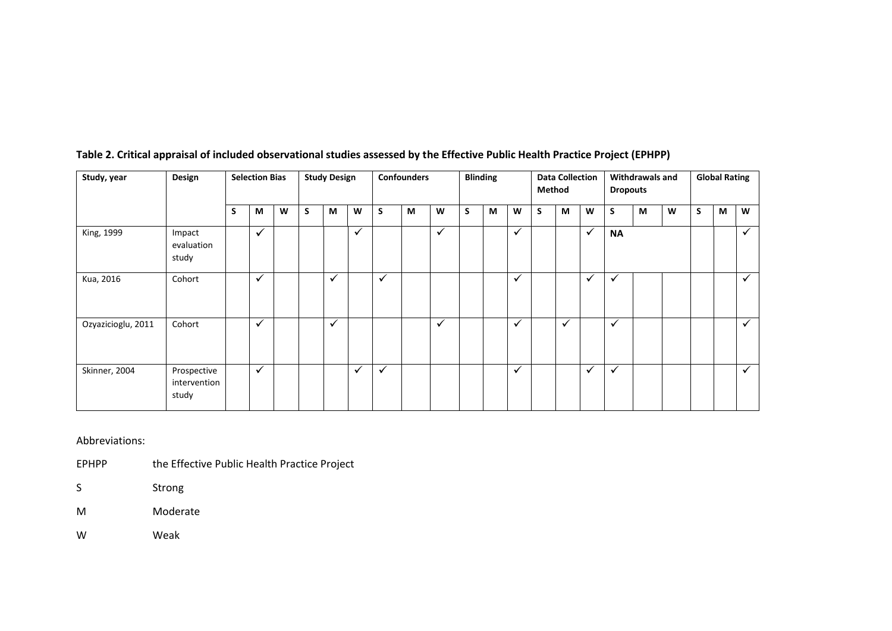| Study, year        | Design<br><b>Study Design</b><br><b>Confounders</b><br><b>Selection Bias</b> |   |              |   |   | <b>Blinding</b> |              |              | <b>Data Collection</b><br>Method |              |   | <b>Withdrawals and</b><br><b>Dropouts</b> |              |   | <b>Global Rating</b> |              |              |   |   |   |   |              |
|--------------------|------------------------------------------------------------------------------|---|--------------|---|---|-----------------|--------------|--------------|----------------------------------|--------------|---|-------------------------------------------|--------------|---|----------------------|--------------|--------------|---|---|---|---|--------------|
|                    |                                                                              | S | M            | W | S | M               | W            | S            | M                                | W            | S | M                                         | W            | S | M                    | W            | S            | М | W | S | M | W            |
| King, 1999         | Impact<br>evaluation<br>study                                                |   | $\checkmark$ |   |   |                 | $\checkmark$ |              |                                  | $\checkmark$ |   |                                           | $\checkmark$ |   |                      | $\checkmark$ | <b>NA</b>    |   |   |   |   | ✓            |
| Kua, 2016          | Cohort                                                                       |   | $\checkmark$ |   |   | $\checkmark$    |              | $\checkmark$ |                                  |              |   |                                           | $\checkmark$ |   |                      | $\checkmark$ | $\checkmark$ |   |   |   |   | $\checkmark$ |
| Ozyazicioglu, 2011 | Cohort                                                                       |   | $\checkmark$ |   |   | $\checkmark$    |              |              |                                  | $\checkmark$ |   |                                           | $\checkmark$ |   | $\checkmark$         |              | $\checkmark$ |   |   |   |   | $\checkmark$ |
| Skinner, 2004      | Prospective<br>intervention<br>study                                         |   | $\checkmark$ |   |   |                 | $\checkmark$ | $\checkmark$ |                                  |              |   |                                           | $\checkmark$ |   |                      | $\checkmark$ | $\checkmark$ |   |   |   |   | ✓            |

# **Table 2. Critical appraisal of included observational studies assessed by the Effective Public Health Practice Project (EPHPP)**

Abbreviations:

EPHPP the Effective Public Health Practice Project

S Strong

M Moderate

W Weak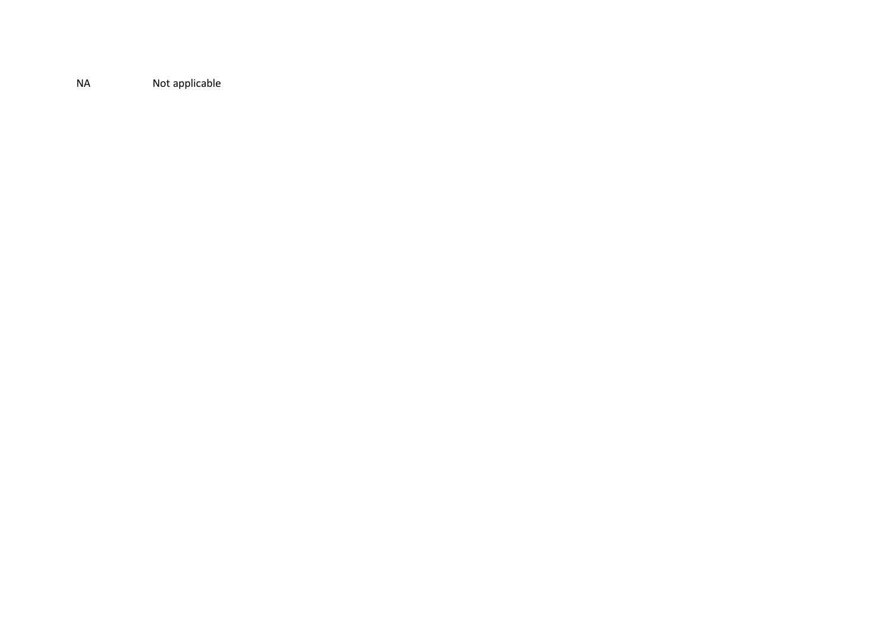NA Not applicable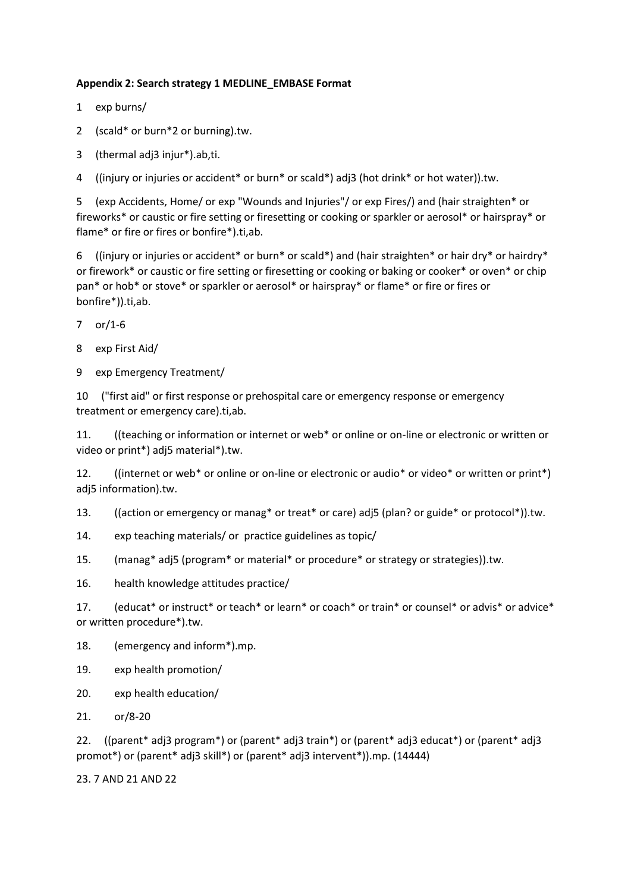## **Appendix 2: Search strategy 1 MEDLINE\_EMBASE Format**

- 1 exp burns/
- 2 (scald\* or burn\*2 or burning).tw.
- 3 (thermal adj3 injur\*).ab,ti.

4 ((injury or injuries or accident\* or burn\* or scald\*) adj3 (hot drink\* or hot water)).tw.

5 (exp Accidents, Home/ or exp "Wounds and Injuries"/ or exp Fires/) and (hair straighten\* or fireworks\* or caustic or fire setting or firesetting or cooking or sparkler or aerosol\* or hairspray\* or flame\* or fire or fires or bonfire\*).ti,ab.

6 ((injury or injuries or accident\* or burn\* or scald\*) and (hair straighten\* or hair dry\* or hairdry\* or firework\* or caustic or fire setting or firesetting or cooking or baking or cooker\* or oven\* or chip pan\* or hob\* or stove\* or sparkler or aerosol\* or hairspray\* or flame\* or fire or fires or bonfire\*)).ti,ab.

- 7 or/1-6
- 8 exp First Aid/
- 9 exp Emergency Treatment/

10 ("first aid" or first response or prehospital care or emergency response or emergency treatment or emergency care).ti,ab.

11. ((teaching or information or internet or web\* or online or on-line or electronic or written or video or print\*) adj5 material\*).tw.

12. ((internet or web\* or online or on-line or electronic or audio\* or video\* or written or print\*) adj5 information).tw.

13. ((action or emergency or manag\* or treat\* or care) adj5 (plan? or guide\* or protocol\*)).tw.

- 14. exp teaching materials/ or practice guidelines as topic/
- 15. (manag\* adj5 (program\* or material\* or procedure\* or strategy or strategies)).tw.

16. health knowledge attitudes practice/

17. (educat\* or instruct\* or teach\* or learn\* or coach\* or train\* or counsel\* or advis\* or advice\* or written procedure\*).tw.

- 18. (emergency and inform\*).mp.
- 19. exp health promotion/
- 20. exp health education/
- 21. or/8-20

22. ((parent\* adj3 program\*) or (parent\* adj3 train\*) or (parent\* adj3 educat\*) or (parent\* adj3 promot\*) or (parent\* adj3 skill\*) or (parent\* adj3 intervent\*)).mp. (14444)

23. 7 AND 21 AND 22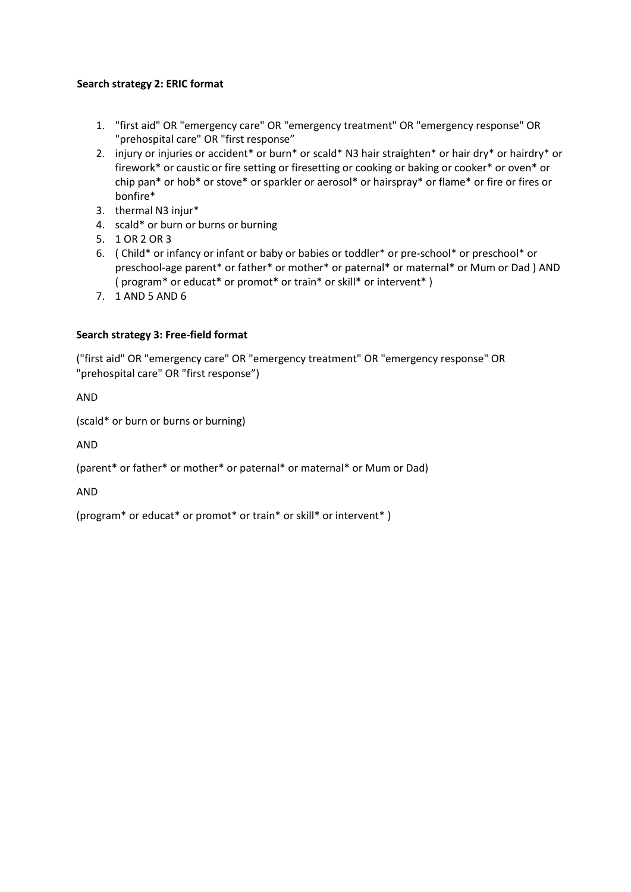## **Search strategy 2: ERIC format**

- 1. "first aid" OR "emergency care" OR "emergency treatment" OR "emergency response" OR "prehospital care" OR "first response"
- 2. injury or injuries or accident\* or burn\* or scald\* N3 hair straighten\* or hair dry\* or hairdry\* or firework\* or caustic or fire setting or firesetting or cooking or baking or cooker\* or oven\* or chip pan\* or hob\* or stove\* or sparkler or aerosol\* or hairspray\* or flame\* or fire or fires or bonfire\*
- 3. thermal N3 injur\*
- 4. scald\* or burn or burns or burning
- 5. 1 OR 2 OR 3
- 6. ( Child\* or infancy or infant or baby or babies or toddler\* or pre-school\* or preschool\* or preschool-age parent\* or father\* or mother\* or paternal\* or maternal\* or Mum or Dad ) AND ( program\* or educat\* or promot\* or train\* or skill\* or intervent\* )
- 7. 1 AND 5 AND 6

## **Search strategy 3: Free-field format**

("first aid" OR "emergency care" OR "emergency treatment" OR "emergency response" OR "prehospital care" OR "first response")

AND

(scald\* or burn or burns or burning)

AND

(parent\* or father\* or mother\* or paternal\* or maternal\* or Mum or Dad)

AND

(program\* or educat\* or promot\* or train\* or skill\* or intervent\* )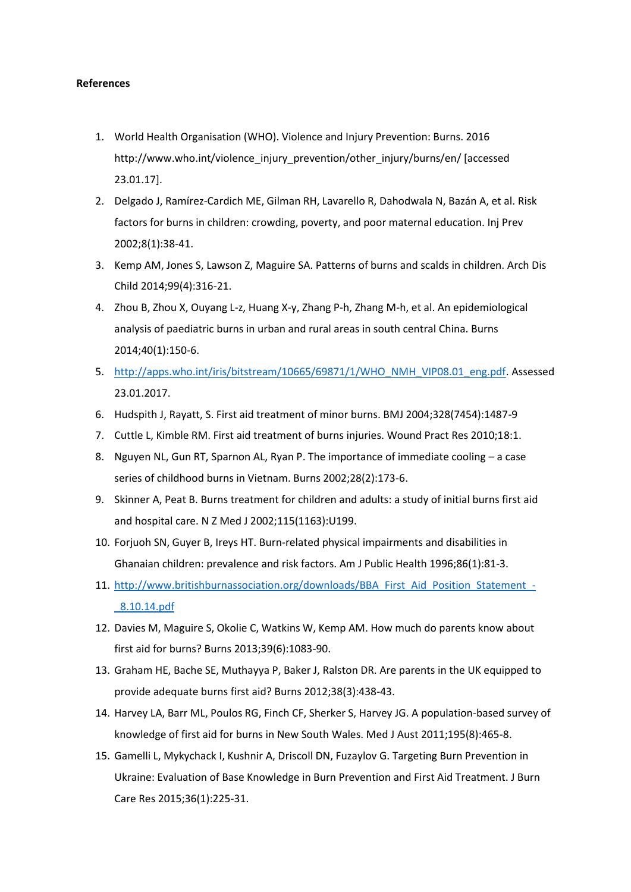## **References**

- 1. World Health Organisation (WHO). Violence and Injury Prevention: Burns. 2016 http://www.who.int/violence\_injury\_prevention/other\_injury/burns/en/ [accessed 23.01.17].
- 2. Delgado J, Ramírez-Cardich ME, Gilman RH, Lavarello R, Dahodwala N, Bazán A, et al. Risk factors for burns in children: crowding, poverty, and poor maternal education. Inj Prev 2002;8(1):38-41.
- 3. Kemp AM, Jones S, Lawson Z, Maguire SA. Patterns of burns and scalds in children. Arch Dis Child 2014;99(4):316-21.
- 4. Zhou B, Zhou X, Ouyang L-z, Huang X-y, Zhang P-h, Zhang M-h, et al. An epidemiological analysis of paediatric burns in urban and rural areas in south central China. Burns 2014;40(1):150-6.
- 5. [http://apps.who.int/iris/bitstream/10665/69871/1/WHO\\_NMH\\_VIP08.01\\_eng.pdf.](http://apps.who.int/iris/bitstream/10665/69871/1/WHO_NMH_VIP08.01_eng.pdf) Assessed 23.01.2017.
- 6. Hudspith J, Rayatt, S. First aid treatment of minor burns. BMJ 2004;328(7454):1487-9
- 7. Cuttle L, Kimble RM. First aid treatment of burns injuries. Wound Pract Res 2010;18:1.
- 8. Nguyen NL, Gun RT, Sparnon AL, Ryan P. The importance of immediate cooling a case series of childhood burns in Vietnam. Burns 2002;28(2):173-6.
- 9. Skinner A, Peat B. Burns treatment for children and adults: a study of initial burns first aid and hospital care. N Z Med J 2002;115(1163):U199.
- 10. Forjuoh SN, Guyer B, Ireys HT. Burn-related physical impairments and disabilities in Ghanaian children: prevalence and risk factors. Am J Public Health 1996;86(1):81-3.
- 11. [http://www.britishburnassociation.org/downloads/BBA\\_First\\_Aid\\_Position\\_Statement\\_-](http://www.britishburnassociation.org/downloads/BBA_First_Aid_Position_Statement_-_8.10.14.pdf) [\\_8.10.14.pdf](http://www.britishburnassociation.org/downloads/BBA_First_Aid_Position_Statement_-_8.10.14.pdf)
- 12. Davies M, Maguire S, Okolie C, Watkins W, Kemp AM. How much do parents know about first aid for burns? Burns 2013;39(6):1083-90.
- 13. Graham HE, Bache SE, Muthayya P, Baker J, Ralston DR. Are parents in the UK equipped to provide adequate burns first aid? Burns 2012;38(3):438-43.
- 14. Harvey LA, Barr ML, Poulos RG, Finch CF, Sherker S, Harvey JG. A population-based survey of knowledge of first aid for burns in New South Wales. Med J Aust 2011;195(8):465-8.
- 15. Gamelli L, Mykychack I, Kushnir A, Driscoll DN, Fuzaylov G. Targeting Burn Prevention in Ukraine: Evaluation of Base Knowledge in Burn Prevention and First Aid Treatment. J Burn Care Res 2015;36(1):225-31.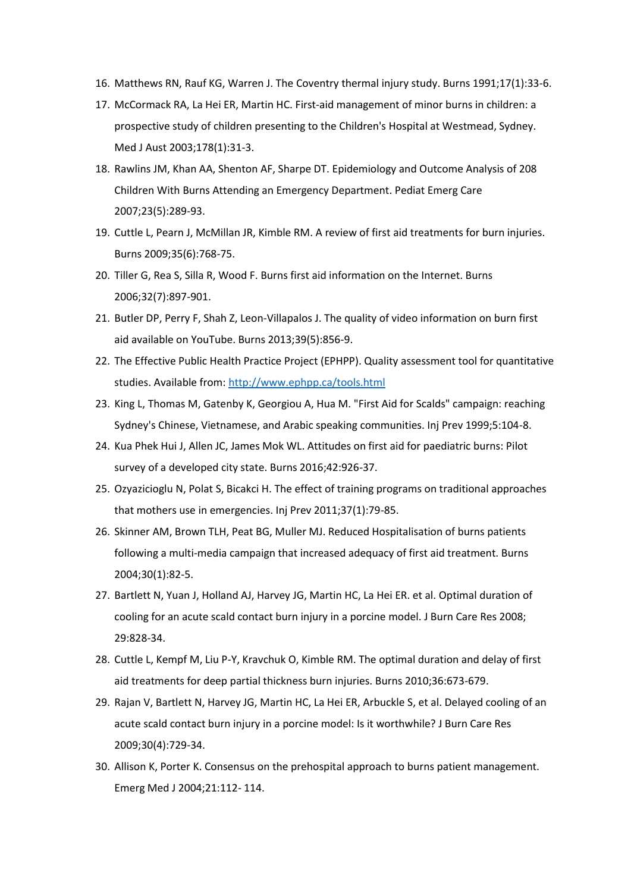- 16. Matthews RN, Rauf KG, Warren J. The Coventry thermal injury study. Burns 1991;17(1):33-6.
- 17. McCormack RA, La Hei ER, Martin HC. First-aid management of minor burns in children: a prospective study of children presenting to the Children's Hospital at Westmead, Sydney. Med J Aust 2003;178(1):31-3.
- 18. Rawlins JM, Khan AA, Shenton AF, Sharpe DT. Epidemiology and Outcome Analysis of 208 Children With Burns Attending an Emergency Department. Pediat Emerg Care 2007;23(5):289-93.
- 19. Cuttle L, Pearn J, McMillan JR, Kimble RM. A review of first aid treatments for burn injuries. Burns 2009;35(6):768-75.
- 20. Tiller G, Rea S, Silla R, Wood F. Burns first aid information on the Internet. Burns 2006;32(7):897-901.
- 21. Butler DP, Perry F, Shah Z, Leon-Villapalos J. The quality of video information on burn first aid available on YouTube. Burns 2013;39(5):856-9.
- 22. The Effective Public Health Practice Project (EPHPP). Quality assessment tool for quantitative studies. Available from[: http://www.ephpp.ca/tools.html](http://www.ephpp.ca/tools.html)
- 23. King L, Thomas M, Gatenby K, Georgiou A, Hua M. "First Aid for Scalds" campaign: reaching Sydney's Chinese, Vietnamese, and Arabic speaking communities. Inj Prev 1999;5:104-8.
- 24. Kua Phek Hui J, Allen JC, James Mok WL. Attitudes on first aid for paediatric burns: Pilot survey of a developed city state. Burns 2016;42:926-37.
- 25. Ozyazicioglu N, Polat S, Bicakci H. The effect of training programs on traditional approaches that mothers use in emergencies. Inj Prev 2011;37(1):79-85.
- 26. Skinner AM, Brown TLH, Peat BG, Muller MJ. Reduced Hospitalisation of burns patients following a multi-media campaign that increased adequacy of first aid treatment. Burns 2004;30(1):82-5.
- 27. Bartlett N, Yuan J, Holland AJ, Harvey JG, Martin HC, La Hei ER. et al. Optimal duration of cooling for an acute scald contact burn injury in a porcine model. J Burn Care Res 2008; 29:828-34.
- 28. Cuttle L, Kempf M, Liu P-Y, Kravchuk O, Kimble RM. The optimal duration and delay of first aid treatments for deep partial thickness burn injuries. Burns 2010;36:673-679.
- 29. Rajan V, Bartlett N, Harvey JG, Martin HC, La Hei ER, Arbuckle S, et al. Delayed cooling of an acute scald contact burn injury in a porcine model: Is it worthwhile? J Burn Care Res 2009;30(4):729-34.
- 30. Allison K, Porter K. Consensus on the prehospital approach to burns patient management. Emerg Med J 2004;21:112- 114.